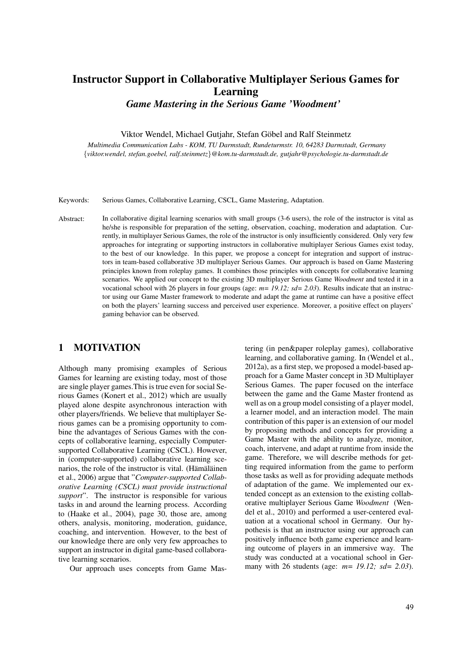Viktor Wendel, Michael Gutjahr, Stefan Göbel, Ralf Steinmetz: **Instructor Support in Collaborative Multiplayer Serious Games for Learning - Game Mastering in the Serious Game 'Woodment'.** In: Proceedings of the 6th International Conference on Computer Supported Education, vol. 3, p. 49-56, SciTePress, April 2014. ISBN 978-989-758-022-2.

# Instructor Support in Collaborative Multiplayer Serious Games for Learning

*Game Mastering in the Serious Game 'Woodment'*

Viktor Wendel, Michael Gutjahr, Stefan Göbel and Ralf Steinmetz

*Multimedia Communication Labs - KOM, TU Darmstadt, Rundeturmstr. 10, 64283 Darmstadt, Germany* {*viktor.wendel, stefan.goebel, ralf.steinmetz*}*@kom.tu-darmstadt.de, gutjahr@psychologie.tu-darmstadt.de*

Keywords: Serious Games, Collaborative Learning, CSCL, Game Mastering, Adaptation.

Abstract: In collaborative digital learning scenarios with small groups (3-6 users), the role of the instructor is vital as he/she is responsible for preparation of the setting, observation, coaching, moderation and adaptation. Currently, in multiplayer Serious Games, the role of the instructor is only insufficiently considered. Only very few approaches for integrating or supporting instructors in collaborative multiplayer Serious Games exist today, to the best of our knowledge. In this paper, we propose a concept for integration and support of instructors in team-based collaborative 3D multiplayer Serious Games. Our approach is based on Game Mastering principles known from roleplay games. It combines those principles with concepts for collaborative learning scenarios. We applied our concept to the existing 3D multiplayer Serious Game *Woodment* and tested it in a vocational school with 26 players in four groups (age: *m= 19.12; sd= 2.03*). Results indicate that an instructor using our Game Master framework to moderate and adapt the game at runtime can have a positive effect on both the players' learning success and perceived user experience. Moreover, a positive effect on players' gaming behavior can be observed.

### 1 MOTIVATION

Although many promising examples of Serious Games for learning are existing today, most of those are single player games.This is true even for social Serious Games (Konert et al., 2012) which are usually played alone despite asynchronous interaction with other players/friends. We believe that multiplayer Serious games can be a promising opportunity to combine the advantages of Serious Games with the concepts of collaborative learning, especially Computersupported Collaborative Learning (CSCL). However, in (computer-supported) collaborative learning scenarios, the role of the instructor is vital. (Hämäläinen et al., 2006) argue that "*Computer-supported Collaborative Learning (CSCL) must provide instructional support*". The instructor is responsible for various tasks in and around the learning process. According to (Haake et al., 2004), page 30, those are, among others, analysis, monitoring, moderation, guidance, coaching, and intervention. However, to the best of our knowledge there are only very few approaches to support an instructor in digital game-based collaborative learning scenarios.

Our approach uses concepts from Game Mas-

tering (in pen&paper roleplay games), collaborative learning, and collaborative gaming. In (Wendel et al., 2012a), as a first step, we proposed a model-based approach for a Game Master concept in 3D Multiplayer Serious Games. The paper focused on the interface between the game and the Game Master frontend as well as on a group model consisting of a player model, a learner model, and an interaction model. The main contribution of this paper is an extension of our model by proposing methods and concepts for providing a Game Master with the ability to analyze, monitor, coach, intervene, and adapt at runtime from inside the game. Therefore, we will describe methods for getting required information from the game to perform those tasks as well as for providing adequate methods of adaptation of the game. We implemented our extended concept as an extension to the existing collaborative multiplayer Serious Game *Woodment* (Wendel et al., 2010) and performed a user-centered evaluation at a vocational school in Germany. Our hypothesis is that an instructor using our approach can positively influence both game experience and learning outcome of players in an immersive way. The study was conducted at a vocational school in Germany with 26 students (age: *m= 19.12; sd= 2.03*).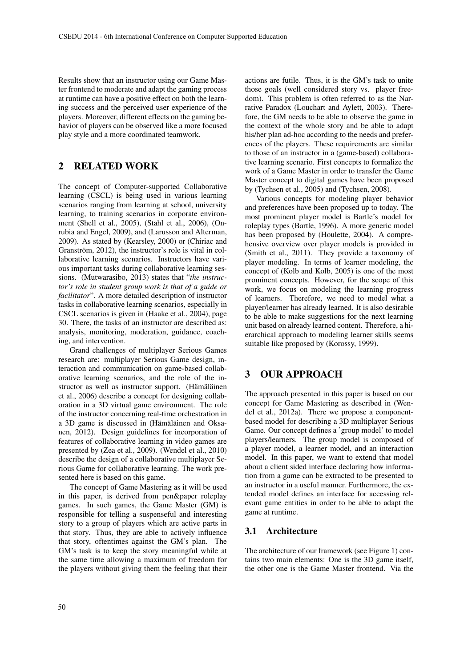Results show that an instructor using our Game Master frontend to moderate and adapt the gaming process at runtime can have a positive effect on both the learning success and the perceived user experience of the players. Moreover, different effects on the gaming behavior of players can be observed like a more focused play style and a more coordinated teamwork.

## 2 RELATED WORK

The concept of Computer-supported Collaborative learning (CSCL) is being used in various learning scenarios ranging from learning at school, university learning, to training scenarios in corporate environment (Shell et al., 2005), (Stahl et al., 2006), (Onrubia and Engel, 2009), and (Larusson and Alterman, 2009). As stated by (Kearsley, 2000) or (Chiriac and Granström, 2012), the instructor's role is vital in collaborative learning scenarios. Instructors have various important tasks during collaborative learning sessions. (Mutwarasibo, 2013) states that "*the instructor's role in student group work is that of a guide or facilitator*". A more detailed description of instructor tasks in collaborative learning scenarios, especially in CSCL scenarios is given in (Haake et al., 2004), page 30. There, the tasks of an instructor are described as: analysis, monitoring, moderation, guidance, coaching, and intervention.

Grand challenges of multiplayer Serious Games research are: multiplayer Serious Game design, interaction and communication on game-based collaborative learning scenarios, and the role of the instructor as well as instructor support. (Hämäläinen et al., 2006) describe a concept for designing collaboration in a 3D virtual game environment. The role of the instructor concerning real-time orchestration in a 3D game is discussed in (Hämäläinen and Oksanen, 2012). Design guidelines for incorporation of features of collaborative learning in video games are presented by (Zea et al., 2009). (Wendel et al., 2010) describe the design of a collaborative multiplayer Serious Game for collaborative learning. The work presented here is based on this game.

The concept of Game Mastering as it will be used in this paper, is derived from pen&paper roleplay games. In such games, the Game Master (GM) is responsible for telling a suspenseful and interesting story to a group of players which are active parts in that story. Thus, they are able to actively influence that story, oftentimes against the GM's plan. The GM's task is to keep the story meaningful while at the same time allowing a maximum of freedom for the players without giving them the feeling that their

actions are futile. Thus, it is the GM's task to unite those goals (well considered story vs. player freedom). This problem is often referred to as the Narrative Paradox (Louchart and Aylett, 2003). Therefore, the GM needs to be able to observe the game in the context of the whole story and be able to adapt his/her plan ad-hoc according to the needs and preferences of the players. These requirements are similar to those of an instructor in a (game-based) collaborative learning scenario. First concepts to formalize the work of a Game Master in order to transfer the Game Master concept to digital games have been proposed by (Tychsen et al., 2005) and (Tychsen, 2008).

Various concepts for modeling player behavior and preferences have been proposed up to today. The most prominent player model is Bartle's model for roleplay types (Bartle, 1996). A more generic model has been proposed by (Houlette, 2004). A comprehensive overview over player models is provided in (Smith et al., 2011). They provide a taxonomy of player modeling. In terms of learner modeling, the concept of (Kolb and Kolb, 2005) is one of the most prominent concepts. However, for the scope of this work, we focus on modeling the learning progress of learners. Therefore, we need to model what a player/learner has already learned. It is also desirable to be able to make suggestions for the next learning unit based on already learned content. Therefore, a hierarchical approach to modeling learner skills seems suitable like proposed by (Korossy, 1999).

## 3 OUR APPROACH

The approach presented in this paper is based on our concept for Game Mastering as described in (Wendel et al., 2012a). There we propose a componentbased model for describing a 3D multiplayer Serious Game. Our concept defines a 'group model' to model players/learners. The group model is composed of a player model, a learner model, and an interaction model. In this paper, we want to extend that model about a client sided interface declaring how information from a game can be extracted to be presented to an instructor in a useful manner. Furthermore, the extended model defines an interface for accessing relevant game entities in order to be able to adapt the game at runtime.

### 3.1 Architecture

The architecture of our framework (see Figure 1) contains two main elements: One is the 3D game itself, the other one is the Game Master frontend. Via the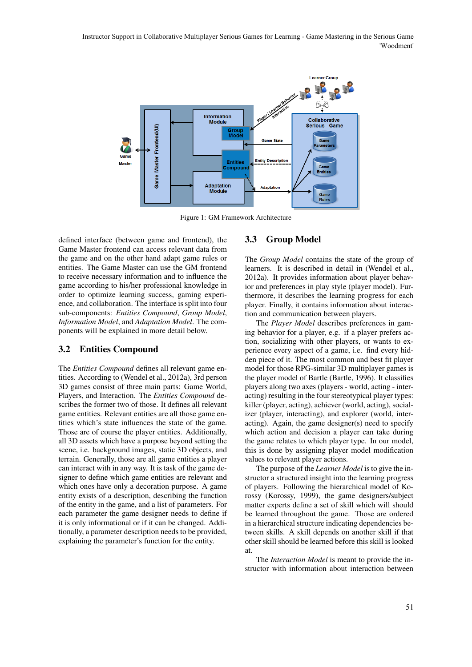Instructor Support in Collaborative Multiplayer Serious Games for Learning - Game Mastering in the Serious Game 'Woodment'



Figure 1: GM Framework Architecture

defined interface (between game and frontend), the Game Master frontend can access relevant data from the game and on the other hand adapt game rules or entities. The Game Master can use the GM frontend to receive necessary information and to influence the game according to his/her professional knowledge in order to optimize learning success, gaming experience, and collaboration. The interface is split into four sub-components: *Entities Compound*, *Group Model*, *Information Model*, and *Adaptation Model*. The components will be explained in more detail below.

#### 3.2 Entities Compound

The *Entities Compound* defines all relevant game entities. According to (Wendel et al., 2012a), 3rd person 3D games consist of three main parts: Game World, Players, and Interaction. The *Entities Compound* describes the former two of those. It defines all relevant game entities. Relevant entities are all those game entities which's state influences the state of the game. Those are of course the player entities. Additionally, all 3D assets which have a purpose beyond setting the scene, i.e. background images, static 3D objects, and terrain. Generally, those are all game entities a player can interact with in any way. It is task of the game designer to define which game entities are relevant and which ones have only a decoration purpose. A game entity exists of a description, describing the function of the entity in the game, and a list of parameters. For each parameter the game designer needs to define if it is only informational or if it can be changed. Additionally, a parameter description needs to be provided, explaining the parameter's function for the entity.

#### 3.3 Group Model

The *Group Model* contains the state of the group of learners. It is described in detail in (Wendel et al., 2012a). It provides information about player behavior and preferences in play style (player model). Furthermore, it describes the learning progress for each player. Finally, it contains information about interaction and communication between players.

The *Player Model* describes preferences in gaming behavior for a player, e.g. if a player prefers action, socializing with other players, or wants to experience every aspect of a game, i.e. find every hidden piece of it. The most common and best fit player model for those RPG-similar 3D multiplayer games is the player model of Bartle (Bartle, 1996). It classifies players along two axes (players - world, acting - interacting) resulting in the four stereotypical player types: killer (player, acting), achiever (world, acting), socializer (player, interacting), and explorer (world, interacting). Again, the game designer(s) need to specify which action and decision a player can take during the game relates to which player type. In our model, this is done by assigning player model modification values to relevant player actions.

The purpose of the *Learner Model* is to give the instructor a structured insight into the learning progress of players. Following the hierarchical model of Korossy (Korossy, 1999), the game designers/subject matter experts define a set of skill which will should be learned throughout the game. Those are ordered in a hierarchical structure indicating dependencies between skills. A skill depends on another skill if that other skill should be learned before this skill is looked at.

The *Interaction Model* is meant to provide the instructor with information about interaction between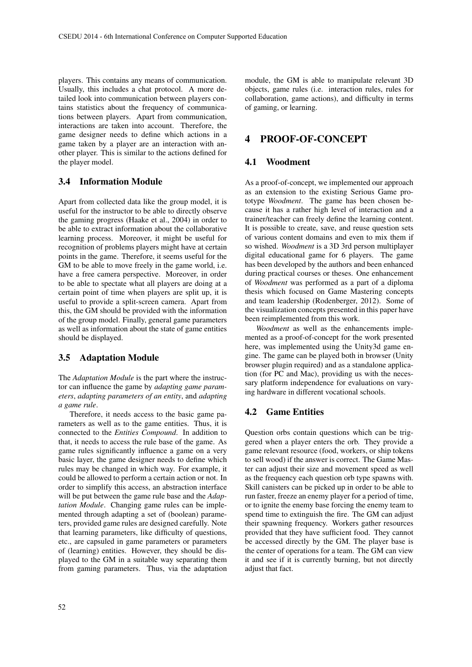players. This contains any means of communication. Usually, this includes a chat protocol. A more detailed look into communication between players contains statistics about the frequency of communications between players. Apart from communication, interactions are taken into account. Therefore, the game designer needs to define which actions in a game taken by a player are an interaction with another player. This is similar to the actions defined for the player model.

### 3.4 Information Module

Apart from collected data like the group model, it is useful for the instructor to be able to directly observe the gaming progress (Haake et al., 2004) in order to be able to extract information about the collaborative learning process. Moreover, it might be useful for recognition of problems players might have at certain points in the game. Therefore, it seems useful for the GM to be able to move freely in the game world, i.e. have a free camera perspective. Moreover, in order to be able to spectate what all players are doing at a certain point of time when players are split up, it is useful to provide a split-screen camera. Apart from this, the GM should be provided with the information of the group model. Finally, general game parameters as well as information about the state of game entities should be displayed.

#### 3.5 Adaptation Module

The *Adaptation Module* is the part where the instructor can influence the game by *adapting game parameters*, *adapting parameters of an entity*, and *adapting a game rule*.

Therefore, it needs access to the basic game parameters as well as to the game entities. Thus, it is connected to the *Entities Compound*. In addition to that, it needs to access the rule base of the game. As game rules significantly influence a game on a very basic layer, the game designer needs to define which rules may be changed in which way. For example, it could be allowed to perform a certain action or not. In order to simplify this access, an abstraction interface will be put between the game rule base and the *Adaptation Module*. Changing game rules can be implemented through adapting a set of (boolean) parameters, provided game rules are designed carefully. Note that learning parameters, like difficulty of questions, etc., are capsuled in game parameters or parameters of (learning) entities. However, they should be displayed to the GM in a suitable way separating them from gaming parameters. Thus, via the adaptation

module, the GM is able to manipulate relevant 3D objects, game rules (i.e. interaction rules, rules for collaboration, game actions), and difficulty in terms of gaming, or learning.

### 4 PROOF-OF-CONCEPT

#### 4.1 Woodment

As a proof-of-concept, we implemented our approach as an extension to the existing Serious Game prototype *Woodment*. The game has been chosen because it has a rather high level of interaction and a trainer/teacher can freely define the learning content. It is possible to create, save, and reuse question sets of various content domains and even to mix them if so wished. *Woodment* is a 3D 3rd person multiplayer digital educational game for 6 players. The game has been developed by the authors and been enhanced during practical courses or theses. One enhancement of *Woodment* was performed as a part of a diploma thesis which focused on Game Mastering concepts and team leadership (Rodenberger, 2012). Some of the visualization concepts presented in this paper have been reimplemented from this work.

*Woodment* as well as the enhancements implemented as a proof-of-concept for the work presented here, was implemented using the Unity3d game engine. The game can be played both in browser (Unity browser plugin required) and as a standalone application (for PC and Mac), providing us with the necessary platform independence for evaluations on varying hardware in different vocational schools.

#### 4.2 Game Entities

Question orbs contain questions which can be triggered when a player enters the orb. They provide a game relevant resource (food, workers, or ship tokens to sell wood) if the answer is correct. The Game Master can adjust their size and movement speed as well as the frequency each question orb type spawns with. Skill canisters can be picked up in order to be able to run faster, freeze an enemy player for a period of time, or to ignite the enemy base forcing the enemy team to spend time to extinguish the fire. The GM can adjust their spawning frequency. Workers gather resources provided that they have sufficient food. They cannot be accessed directly by the GM. The player base is the center of operations for a team. The GM can view it and see if it is currently burning, but not directly adjust that fact.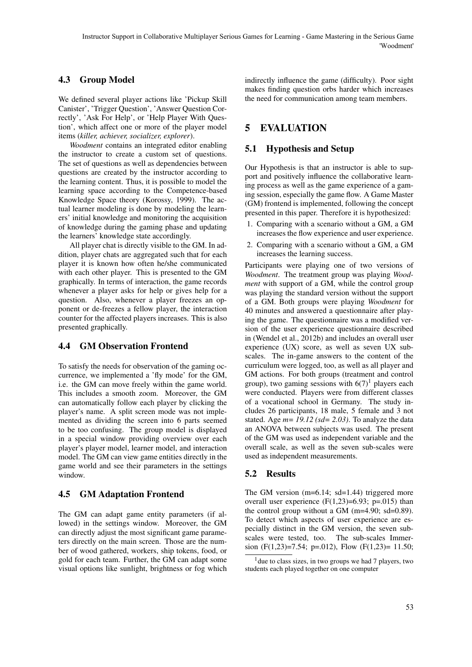### 4.3 Group Model

We defined several player actions like 'Pickup Skill Canister', 'Trigger Question', 'Answer Question Correctly', 'Ask For Help', or 'Help Player With Question', which affect one or more of the player model items (*killer, achiever, socializer, explorer*).

*Woodment* contains an integrated editor enabling the instructor to create a custom set of questions. The set of questions as well as dependencies between questions are created by the instructor according to the learning content. Thus, it is possible to model the learning space according to the Competence-based Knowledge Space theory (Korossy, 1999). The actual learner modeling is done by modeling the learners' initial knowledge and monitoring the acquisition of knowledge during the gaming phase and updating the learners' knowledge state accordingly.

All player chat is directly visible to the GM. In addition, player chats are aggregated such that for each player it is known how often he/she communicated with each other player. This is presented to the GM graphically. In terms of interaction, the game records whenever a player asks for help or gives help for a question. Also, whenever a player freezes an opponent or de-freezes a fellow player, the interaction counter for the affected players increases. This is also presented graphically.

### 4.4 GM Observation Frontend

To satisfy the needs for observation of the gaming occurrence, we implemented a 'fly mode' for the GM, i.e. the GM can move freely within the game world. This includes a smooth zoom. Moreover, the GM can automatically follow each player by clicking the player's name. A split screen mode was not implemented as dividing the screen into 6 parts seemed to be too confusing. The group model is displayed in a special window providing overview over each player's player model, learner model, and interaction model. The GM can view game entities directly in the game world and see their parameters in the settings window.

### 4.5 GM Adaptation Frontend

The GM can adapt game entity parameters (if allowed) in the settings window. Moreover, the GM can directly adjust the most significant game parameters directly on the main screen. Those are the number of wood gathered, workers, ship tokens, food, or gold for each team. Further, the GM can adapt some visual options like sunlight, brightness or fog which indirectly influence the game (difficulty). Poor sight makes finding question orbs harder which increases the need for communication among team members.

## 5 EVALUATION

#### 5.1 Hypothesis and Setup

Our Hypothesis is that an instructor is able to support and positively influence the collaborative learning process as well as the game experience of a gaming session, especially the game flow. A Game Master (GM) frontend is implemented, following the concept presented in this paper. Therefore it is hypothesized:

- 1. Comparing with a scenario without a GM, a GM increases the flow experience and user experience.
- 2. Comparing with a scenario without a GM, a GM increases the learning success.

Participants were playing one of two versions of *Woodment*. The treatment group was playing *Woodment* with support of a GM, while the control group was playing the standard version without the support of a GM. Both groups were playing *Woodment* for 40 minutes and answered a questionnaire after playing the game. The questionnaire was a modified version of the user experience questionnaire described in (Wendel et al., 2012b) and includes an overall user experience (UX) score, as well as seven UX subscales. The in-game answers to the content of the curriculum were logged, too, as well as all player and GM actions. For both groups (treatment and control group), two gaming sessions with  $6(7)^1$  players each were conducted. Players were from different classes of a vocational school in Germany. The study includes 26 participants, 18 male, 5 female and 3 not stated. Age *m= 19.12 (sd= 2.03)*. To analyze the data an ANOVA between subjects was used. The present of the GM was used as independent variable and the overall scale, as well as the seven sub-scales were used as independent measurements.

#### 5.2 Results

The GM version (m=6.14; sd=1.44) triggered more overall user experience  $(F(1,23)=6.93; p=.015)$  than the control group without a GM (m=4.90; sd=0.89). To detect which aspects of user experience are especially distinct in the GM version, the seven subscales were tested, too. The sub-scales Immersion (F(1,23)=7.54; p=.012), Flow (F(1,23)= 11.50;

<sup>&</sup>lt;sup>1</sup> due to class sizes, in two groups we had 7 players, two students each played together on one computer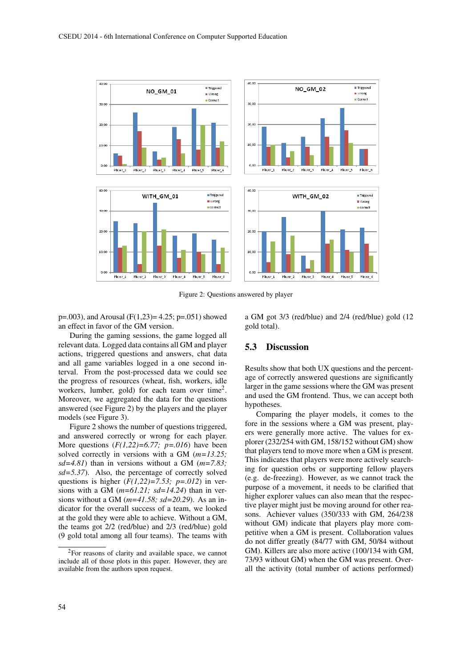

Figure 2: Questions answered by player

 $p=.003$ , and Arousal (F(1,23)= 4.25; p=.051) showed an effect in favor of the GM version.

During the gaming sessions, the game logged all relevant data. Logged data contains all GM and player actions, triggered questions and answers, chat data and all game variables logged in a one second interval. From the post-processed data we could see the progress of resources (wheat, fish, workers, idle workers, lumber, gold) for each team over time<sup>2</sup>. Moreover, we aggregated the data for the questions answered (see Figure 2) by the players and the player models (see Figure 3).

Figure 2 shows the number of questions triggered, and answered correctly or wrong for each player. More questions (*F(1,22)=6.77; p=.016*) have been solved correctly in versions with a GM (*m=13.25; sd=4.81*) than in versions without a GM (*m=7.83; sd=5.37*). Also, the percentage of correctly solved questions is higher  $(F(1,22)=7.53; p=.012)$  in versions with a GM (*m=61.21; sd=14.24*) than in versions without a GM (*m=41.58; sd=20.29*). As an indicator for the overall success of a team, we looked at the gold they were able to achieve. Without a GM, the teams got 2/2 (red/blue) and 2/3 (red/blue) gold (9 gold total among all four teams). The teams with a GM got 3/3 (red/blue) and 2/4 (red/blue) gold (12 gold total).

#### 5.3 Discussion

Results show that both UX questions and the percentage of correctly answered questions are significantly larger in the game sessions where the GM was present and used the GM frontend. Thus, we can accept both hypotheses.

Comparing the player models, it comes to the fore in the sessions where a GM was present, players were generally more active. The values for explorer (232/254 with GM, 158/152 without GM) show that players tend to move more when a GM is present. This indicates that players were more actively searching for question orbs or supporting fellow players (e.g. de-freezing). However, as we cannot track the purpose of a movement, it needs to be clarified that higher explorer values can also mean that the respective player might just be moving around for other reasons. Achiever values (350/333 with GM, 264/238 without GM) indicate that players play more competitive when a GM is present. Collaboration values do not differ greatly (84/77 with GM, 50/84 without GM). Killers are also more active (100/134 with GM, 73/93 without GM) when the GM was present. Overall the activity (total number of actions performed)

<sup>2</sup>For reasons of clarity and available space, we cannot include all of those plots in this paper. However, they are available from the authors upon request.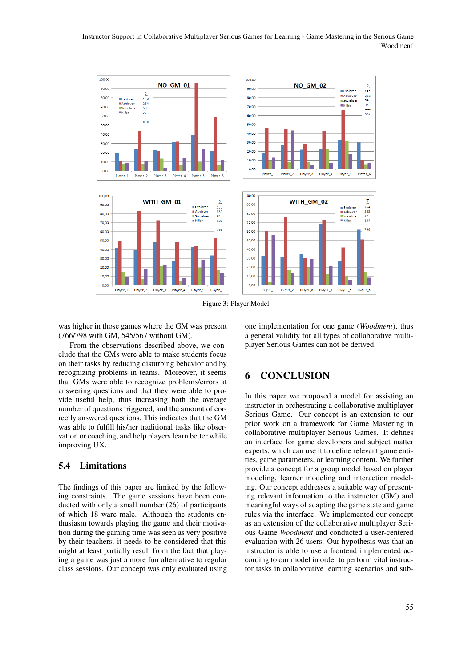#### Instructor Support in Collaborative Multiplayer Serious Games for Learning - Game Mastering in the Serious Game 'Woodment'



Figure 3: Player Model

was higher in those games where the GM was present (766/798 with GM, 545/567 without GM).

From the observations described above, we conclude that the GMs were able to make students focus on their tasks by reducing disturbing behavior and by recognizing problems in teams. Moreover, it seems that GMs were able to recognize problems/errors at answering questions and that they were able to provide useful help, thus increasing both the average number of questions triggered, and the amount of correctly answered questions. This indicates that the GM was able to fulfill his/her traditional tasks like observation or coaching, and help players learn better while improving UX.

### 5.4 Limitations

The findings of this paper are limited by the following constraints. The game sessions have been conducted with only a small number (26) of participants of which 18 ware male. Although the students enthusiasm towards playing the game and their motivation during the gaming time was seen as very positive by their teachers, it needs to be considered that this might at least partially result from the fact that playing a game was just a more fun alternative to regular class sessions. Our concept was only evaluated using one implementation for one game (*Woodment*), thus a general validity for all types of collaborative multiplayer Serious Games can not be derived.

### **CONCLUSION**

In this paper we proposed a model for assisting an instructor in orchestrating a collaborative multiplayer Serious Game. Our concept is an extension to our prior work on a framework for Game Mastering in collaborative multiplayer Serious Games. It defines an interface for game developers and subject matter experts, which can use it to define relevant game entities, game parameters, or learning content. We further provide a concept for a group model based on player modeling, learner modeling and interaction modeling. Our concept addresses a suitable way of presenting relevant information to the instructor (GM) and meaningful ways of adapting the game state and game rules via the interface. We implemented our concept as an extension of the collaborative multiplayer Serious Game *Woodment* and conducted a user-centered evaluation with 26 users. Our hypothesis was that an instructor is able to use a frontend implemented according to our model in order to perform vital instructor tasks in collaborative learning scenarios and sub